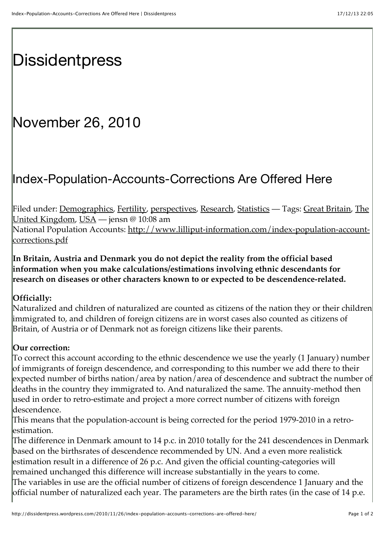# **[Dissidentpress](http://dissidentpress.wordpress.com/)**

## November 26, 2010

### Index-Population-Accounts-Corrections Are Offered Here

[Filed under: D](http://dissidentpress.wordpress.com/tag/the-united-kingdom/)[emographics](http://dissidentpress.wordpress.com/category/demographics/)[,](http://dissidentpress.wordpress.com/tag/the-united-kingdom/) [Fertility](http://dissidentpress.wordpress.com/category/fertility/)[, p](http://dissidentpress.wordpress.com/tag/the-united-kingdom/)[erspectives](http://dissidentpress.wordpress.com/category/perspectives/)[, R](http://dissidentpress.wordpress.com/tag/the-united-kingdom/)[esearch](http://dissidentpress.wordpress.com/category/research/), [Statistics](http://dissidentpress.wordpress.com/category/statistics/) [— Tags:](http://dissidentpress.wordpress.com/tag/the-united-kingdom/) [Great Britain](http://dissidentpress.wordpress.com/tag/great-britain/)[, The](http://dissidentpress.wordpress.com/tag/the-united-kingdom/) United Kingdom, [USA](http://dissidentpress.wordpress.com/tag/usa/) — jensn @ 10:08 am [National Population Accounts: http://www.lilliput-information.com/index-population-account-](http://www.lilliput-information.com/index-population-account-corrections.pdf)

corrections.pdf

**In Britain, Austria and Denmark you do not depict the reality from the official based information when you make calculations/estimations involving ethnic descendants for research on diseases or other characters known to or expected to be descendence-related.**

### **Officially:**

Naturalized and children of naturalized are counted as citizens of the nation they or their children immigrated to, and children of foreign citizens are in worst cases also counted as citizens of Britain, of Austria or of Denmark not as foreign citizens like their parents.

### **Our correction:**

To correct this account according to the ethnic descendence we use the yearly (1 January) number of immigrants of foreign descendence, and corresponding to this number we add there to their expected number of births nation/area by nation/area of descendence and subtract the number of deaths in the country they immigrated to. And naturalized the same. The annuity-method then used in order to retro-estimate and project a more correct number of citizens with foreign descendence.

This means that the population-account is being corrected for the period 1979-2010 in a retroestimation.

The difference in Denmark amount to 14 p.c. in 2010 totally for the 241 descendences in Denmark based on the birthsrates of descendence recommended by UN. And a even more realistick estimation result in a difference of 26 p.c. And given the official counting-categories will remained unchanged this difference will increase substantially in the years to come. The variables in use are the official number of citizens of foreign descendence 1 January and the official number of naturalized each year. The parameters are the birth rates (in the case of 14 p.e.